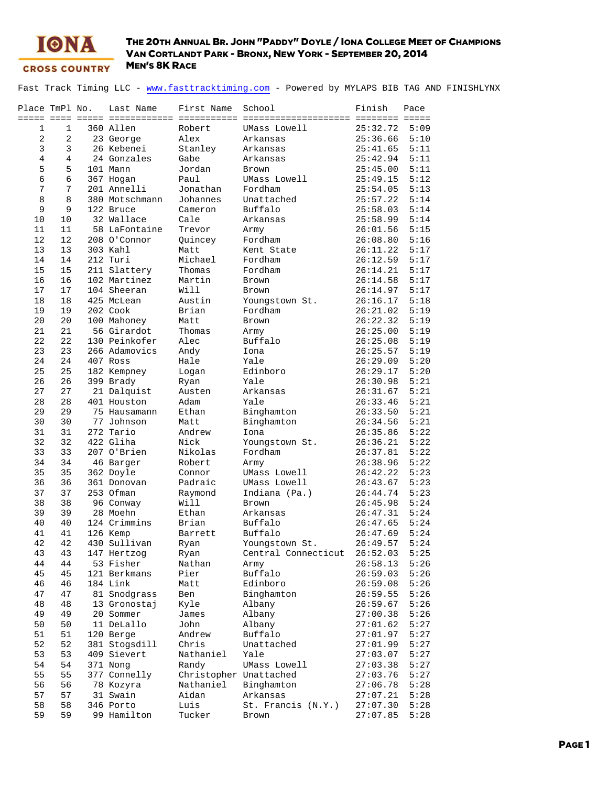

Fast Track Timing LLC - www.fasttracktiming.com - Powered by MYLAPS BIB TAG AND FINISHLYNX

| Place TmPl No. |                | Last Name      | First Name             | School                    | Finish   | Pace |
|----------------|----------------|----------------|------------------------|---------------------------|----------|------|
|                |                |                |                        |                           |          |      |
| 1              | 1              | 360 Allen      | Robert                 | UMass Lowell              | 25:32.72 | 5:09 |
| $\mathbf{2}$   | 2              | 23 George      | Alex                   | Arkansas                  | 25:36.66 | 5:10 |
| 3              | 3              | 26 Kebenei     | Stanley                | Arkansas                  | 25:41.65 | 5:11 |
| $\overline{4}$ | $\overline{4}$ | 24 Gonzales    | Gabe                   | Arkansas                  | 25:42.94 | 5:11 |
| 5              | 5              | 101 Mann       | Jordan                 | Brown                     | 25:45.00 | 5:11 |
| 6              | 6              | 367 Hogan      | Paul                   | UMass Lowell              | 25:49.15 | 5:12 |
| 7              | 7              | 201 Annelli    | Jonathan               | Fordham                   | 25:54.05 | 5:13 |
| 8              | 8              | 380 Motschmann | Johannes               | Unattached                | 25:57.22 | 5:14 |
| 9              | 9              | 122 Bruce      | Cameron                | Buffalo                   | 25:58.03 | 5:14 |
| 10             | 10             | 32 Wallace     | Cale                   | Arkansas                  | 25:58.99 | 5:14 |
| 11             | 11             | 58 LaFontaine  | Trevor                 | Army                      | 26:01.56 | 5:15 |
| 12             | 12             | 208 O'Connor   | Quincey                | Fordham                   | 26:08.80 | 5:16 |
| 13             | 13             | 303 Kahl       | Matt                   | Kent State                | 26:11.22 | 5:17 |
| 14             | 14             | 212 Turi       | Michael                | Fordham                   | 26:12.59 | 5:17 |
| 15             | 15             | 211 Slattery   | Thomas                 | Fordham                   | 26:14.21 | 5:17 |
| 16             | 16             | 102 Martinez   | Martin                 | Brown                     | 26:14.58 | 5:17 |
| 17             | 17             | 104 Sheeran    | Will                   | Brown                     | 26:14.97 | 5:17 |
| 18             | 18             | 425 McLean     | Austin                 | Youngstown St.            | 26:16.17 | 5:18 |
| 19             | 19             | 202 Cook       | Brian                  | Fordham                   | 26:21.02 | 5:19 |
| 20             | 20             | 100 Mahoney    | Matt                   | Brown                     | 26:22.32 | 5:19 |
| 21             | 21             | 56 Girardot    | Thomas                 | Army                      | 26:25.00 | 5:19 |
| 22             | 22             | 130 Peinkofer  | Alec                   | Buffalo                   | 26:25.08 | 5:19 |
| 23             | 23             | 266 Adamovics  | Andy                   | Iona                      | 26:25.57 | 5:19 |
| 24             | 24             | 407 Ross       | Hale                   | Yale                      | 26:29.09 | 5:20 |
| 25             | 25             | 182 Kempney    | Logan                  | Edinboro                  | 26:29.17 | 5:20 |
| 26             | 26             | 399 Brady      | Ryan                   | Yale                      | 26:30.98 | 5:21 |
| 27             | 27             | 21 Dalquist    | Austen                 | Arkansas                  | 26:31.67 | 5:21 |
| 28             | 28             | 401 Houston    | Adam                   | Yale                      | 26:33.46 | 5:21 |
| 29             | 29             | 75 Hausamann   | Ethan                  | Binghamton                | 26:33.50 | 5:21 |
| 30             | 30             | 77 Johnson     | Matt                   | Binghamton                | 26:34.56 | 5:21 |
| 31             | 31             | 272 Tario      | Andrew                 | Iona                      | 26:35.86 | 5:22 |
| 32             | 32             | 422 Gliha      | Nick                   |                           |          | 5:22 |
| 33             | 33             | 207 O'Brien    | Nikolas                | Youngstown St.<br>Fordham | 26:36.21 | 5:22 |
|                |                |                |                        |                           | 26:37.81 |      |
| 34             | 34             | 46 Barger      | Robert                 | Army                      | 26:38.96 | 5:22 |
| 35             | 35             | 362 Doyle      | Connor                 | UMass Lowell              | 26:42.22 | 5:23 |
| 36             | 36             | 361 Donovan    | Padraic                | UMass Lowell              | 26:43.67 | 5:23 |
| 37             | 37             | 253 Ofman      | Raymond                | Indiana (Pa.)             | 26:44.74 | 5:23 |
| 38             | 38             | 96 Conway      | Will                   | Brown                     | 26:45.98 | 5:24 |
| 39             | 39             | 28 Moehn       | Ethan                  | Arkansas                  | 26:47.31 | 5:24 |
| 40             | 40             | 124 Crimmins   | Brian                  | Buffalo                   | 26:47.65 | 5:24 |
| 41             | 41             | 126 Kemp       | Barrett                | Buffalo                   | 26:47.69 | 5:24 |
| 42             | 42             | 430 Sullivan   | Ryan                   | Youngstown St.            | 26:49.57 | 5:24 |
| 43             | 43             | 147 Hertzog    | Ryan                   | Central Connecticut       | 26:52.03 | 5:25 |
| 44             | 44             | 53 Fisher      | Nathan                 | Army                      | 26:58.13 | 5:26 |
| 45             | 45             | 121 Berkmans   | Pier                   | Buffalo                   | 26:59.03 | 5:26 |
| 46             | 46             | 184 Link       | Matt                   | Edinboro                  | 26:59.08 | 5:26 |
| 47             | 47             | 81 Snodgrass   | Ben                    | Binghamton                | 26:59.55 | 5:26 |
| 48             | 48             | 13 Gronostaj   | Kyle                   | Albany                    | 26:59.67 | 5:26 |
| 49             | 49             | 20 Sommer      | James                  | Albany                    | 27:00.38 | 5:26 |
| 50             | 50             | 11 DeLallo     | John                   | Albany                    | 27:01.62 | 5:27 |
| 51             | 51             | 120 Berge      | Andrew                 | Buffalo                   | 27:01.97 | 5:27 |
| 52             | 52             | 381 Stogsdill  | Chris                  | Unattached                | 27:01.99 | 5:27 |
| 53             | 53             | 409 Sievert    | Nathaniel              | Yale                      | 27:03.07 | 5:27 |
| 54             | 54             | 371 Nong       | Randy                  | UMass Lowell              | 27:03.38 | 5:27 |
| 55             | 55             | 377 Connelly   | Christopher Unattached |                           | 27:03.76 | 5:27 |
| 56             | 56             | 78 Kozyra      | Nathaniel              | Binghamton                | 27:06.78 | 5:28 |
| 57             | 57             | 31 Swain       | Aidan                  | Arkansas                  | 27:07.21 | 5:28 |
| 58             | 58             | 346 Porto      | Luis                   | St. Francis (N.Y.)        | 27:07.30 | 5:28 |
| 59             | 59             | 99 Hamilton    | Tucker                 | Brown                     | 27:07.85 | 5:28 |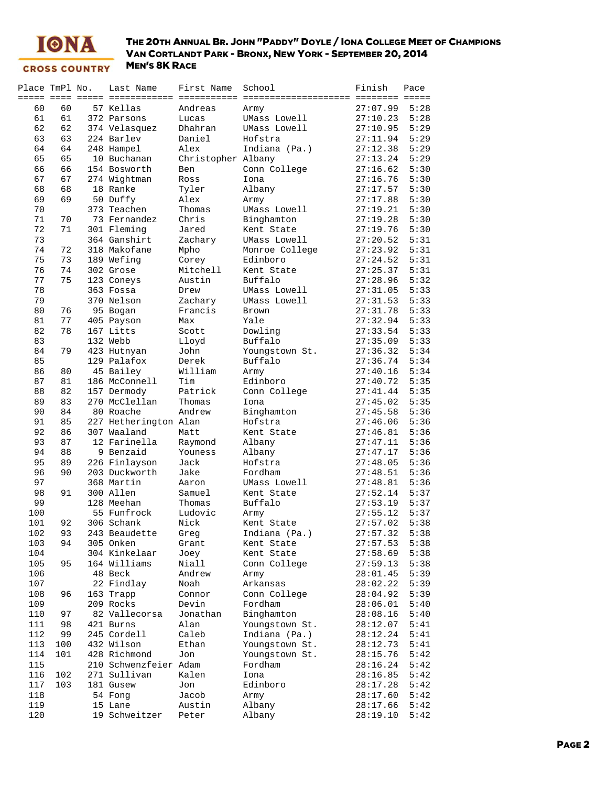

| Place TmPl No. |     | Last Name             | First Name         | School         | Finish   | Pace |
|----------------|-----|-----------------------|--------------------|----------------|----------|------|
|                |     |                       |                    |                |          |      |
| 60             | 60  | 57 Kellas             | Andreas            | Army           | 27:07.99 | 5:28 |
| 61             | 61  | 372 Parsons           | Lucas              | UMass Lowell   | 27:10.23 | 5:28 |
| 62             | 62  | 374 Velasquez         | Dhahran            | UMass Lowell   | 27:10.95 | 5:29 |
| 63             | 63  | 224 Barlev            | Daniel             | Hofstra        | 27:11.94 | 5:29 |
| 64             | 64  | 248 Hampel            | Alex               | Indiana (Pa.)  | 27:12.38 | 5:29 |
| 65             | 65  | 10 Buchanan           | Christopher Albany |                | 27:13.24 | 5:29 |
| 66             | 66  | 154 Bosworth          | Ben                | Conn College   | 27:16.62 | 5:30 |
|                |     |                       |                    |                |          |      |
| 67             | 67  | 274 Wightman          | Ross               | Iona           | 27:16.76 | 5:30 |
| 68             | 68  | 18 Ranke              | Tyler              | Albany         | 27:17.57 | 5:30 |
| 69             | 69  | 50 Duffy              | Alex               | Army           | 27:17.88 | 5:30 |
| 70             |     | 373 Teachen           | Thomas             | UMass Lowell   | 27:19.21 | 5:30 |
| 71             | 70  | 73 Fernandez          | Chris              | Binghamton     | 27:19.28 | 5:30 |
| 72             | 71  | 301 Fleming           | Jared              | Kent State     | 27:19.76 | 5:30 |
| 73             |     | 364 Ganshirt          | Zachary            | UMass Lowell   | 27:20.52 | 5:31 |
| 74             | 72  | 318 Makofane          | Mpho               | Monroe College | 27:23.92 | 5:31 |
| 75             | 73  | 189 Wefing            | Corey              | Edinboro       | 27:24.52 | 5:31 |
| 76             | 74  | 302 Grose             | Mitchell           | Kent State     | 27:25.37 | 5:31 |
| 77             | 75  | 123 Coneys            | Austin             | Buffalo        | 27:28.96 | 5:32 |
| 78             |     | 363 Fossa             | Drew               | UMass Lowell   | 27:31.05 | 5:33 |
| 79             |     | 370 Nelson            | Zachary            | UMass Lowell   | 27:31.53 | 5:33 |
|                |     |                       |                    | Brown          |          |      |
| 80             | 76  | 95 Bogan              | Francis            |                | 27:31.78 | 5:33 |
| 81             | 77  | 405 Payson            | Max                | Yale           | 27:32.94 | 5:33 |
| 82             | 78  | 167 Litts             | Scott              | Dowling        | 27:33.54 | 5:33 |
| 83             |     | 132 Webb              | Lloyd              | Buffalo        | 27:35.09 | 5:33 |
| 84             | 79  | 423 Hutnyan           | John               | Youngstown St. | 27:36.32 | 5:34 |
| 85             |     | 129 Palafox           | Derek              | Buffalo        | 27:36.74 | 5:34 |
| 86             | 80  | 45 Bailey             | William            | Army           | 27:40.16 | 5:34 |
| 87             | 81  | 186 McConnell         | Tim                | Edinboro       | 27:40.72 | 5:35 |
| 88             | 82  | 157 Dermody           | Patrick            | Conn College   | 27:41.44 | 5:35 |
| 89             | 83  | 270 McClellan         | Thomas             | Iona           | 27:45.02 | 5:35 |
| 90             | 84  | 80 Roache             | Andrew             | Binghamton     | 27:45.58 | 5:36 |
| 91             | 85  | 227 Hetherington Alan |                    | Hofstra        | 27:46.06 | 5:36 |
| 92             | 86  | 307 Waaland           | Matt               | Kent State     | 27:46.81 | 5:36 |
| 93             | 87  | 12 Farinella          | Raymond            | Albany         | 27:47.11 | 5:36 |
|                | 88  | 9 Benzaid             |                    |                |          | 5:36 |
| 94             |     |                       | Youness            | Albany         | 27:47.17 |      |
| 95             | 89  | 226 Finlayson         | Jack               | Hofstra        | 27:48.05 | 5:36 |
| 96             | 90  | 203 Duckworth         | Jake               | Fordham        | 27:48.51 | 5:36 |
| 97             |     | 368 Martin            | Aaron              | UMass Lowell   | 27:48.81 | 5:36 |
| 98             | 91  | 300 Allen             | Samuel             | Kent State     | 27:52.14 | 5:37 |
| 99             |     | 128 Meehan            | Thomas             | Buffalo        | 27:53.19 | 5:37 |
| 100            |     | 55 Funfrock           | Ludovic            | Army           | 27:55.12 | 5:37 |
| 101            | 92  | 306 Schank            | Nick               | Kent State     | 27:57.02 | 5:38 |
| 102            | 93  | 243 Beaudette         | Greg               | Indiana (Pa.)  | 27:57.32 | 5:38 |
| 103            | 94  | 305 Onken             | Grant              | Kent State     | 27:57.53 | 5:38 |
| 104            |     | 304 Kinkelaar         | Joey               | Kent State     | 27:58.69 | 5:38 |
| 105            | 95  | 164 Williams          | Niall              | Conn College   | 27:59.13 | 5:38 |
| 106            |     | 48 Beck               | Andrew             | Army           | 28:01.45 | 5:39 |
|                |     |                       |                    |                |          |      |
| 107            |     | 22 Findlay            | Noah               | Arkansas       | 28:02.22 | 5:39 |
| 108            | 96  | 163 Trapp             | Connor             | Conn College   | 28:04.92 | 5:39 |
| 109            |     | 209 Rocks             | Devin              | Fordham        | 28:06.01 | 5:40 |
| 110            | 97  | 82 Vallecorsa         | Jonathan           | Binghamton     | 28:08.16 | 5:40 |
| 111            | 98  | 421 Burns             | Alan               | Youngstown St. | 28:12.07 | 5:41 |
| 112            | 99  | 245 Cordell           | Caleb              | Indiana (Pa.)  | 28:12.24 | 5:41 |
| 113            | 100 | 432 Wilson            | Ethan              | Youngstown St. | 28:12.73 | 5:41 |
| 114            | 101 | 428 Richmond          | Jon                | Youngstown St. | 28:15.76 | 5:42 |
| 115            |     | 210 Schwenzfeier Adam |                    | Fordham        | 28:16.24 | 5:42 |
| 116            | 102 | 271 Sullivan          | Kalen              | Iona           | 28:16.85 | 5:42 |
| 117            | 103 | 181 Gusew             | Jon                | Edinboro       | 28:17.28 | 5:42 |
| 118            |     | 54 Fong               | Jacob              | Army           | 28:17.60 | 5:42 |
| 119            |     | 15 Lane               | Austin             | Albany         | 28:17.66 | 5:42 |
|                |     |                       |                    |                |          |      |
| 120            |     | 19 Schweitzer         | Peter              | Albany         | 28:19.10 | 5:42 |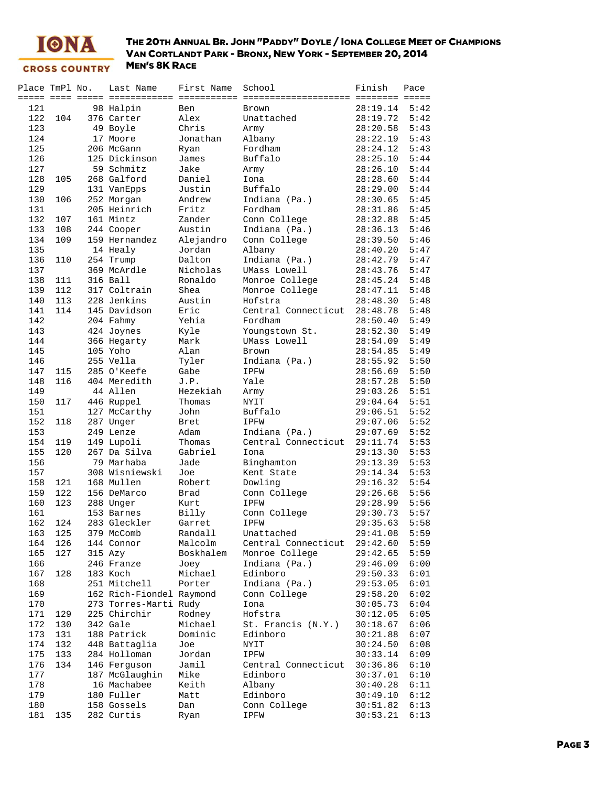

| Place TmPl No. |     | Last Name                | First Name   | School                | Finish               | Pace |
|----------------|-----|--------------------------|--------------|-----------------------|----------------------|------|
|                |     |                          |              |                       | ======== =====       |      |
| 121            |     | 98 Halpin                | Ben          | Brown                 | 28:19.14             | 5:42 |
| 122            | 104 | 376 Carter               | Alex         | Unattached            | 28:19.72             | 5:42 |
| 123            |     | 49 Boyle                 | Chris        | Army                  | 28:20.58             | 5:43 |
| 124            |     | 17 Moore                 | Jonathan     | Albany                | 28:22.19             | 5:43 |
| 125            |     | 206 McGann               | Ryan         | Fordham               | 28:24.12             | 5:43 |
| 126            |     | 125 Dickinson            | James        | Buffalo               | 28:25.10             | 5:44 |
| 127            |     | 59 Schmitz               | Jake         | Army                  | 28:26.10             | 5:44 |
| 128            | 105 | 268 Galford              | Daniel       | Iona                  | 28:28.60             | 5:44 |
| 129            |     | 131 VanEpps              | Justin       | Buffalo               | 28:29.00             | 5:44 |
| 130            | 106 | 252 Morgan               | Andrew       | Indiana (Pa.)         | 28:30.65             | 5:45 |
| 131            |     | 205 Heinrich             | Fritz        | Fordham               | 28:31.86             | 5:45 |
| 132            | 107 | 161 Mintz                | Zander       | Conn College          | 28:32.88             | 5:45 |
| 133            | 108 | 244 Cooper               | Austin       | Indiana (Pa.)         | 28:36.13             | 5:46 |
| 134            | 109 | 159 Hernandez            | Alejandro    | Conn College          | 28:39.50             | 5:46 |
| 135            |     | 14 Healy                 | Jordan       | Albany                | 28:40.20             | 5:47 |
| 136            | 110 | 254 Trump                | Dalton       | Indiana (Pa.)         | 28:42.79             | 5:47 |
| 137            |     | 369 McArdle              | Nicholas     | UMass Lowell          | 28:43.76             | 5:47 |
| 138            | 111 | 316 Ball                 | Ronaldo      | Monroe College        | 28:45.24             | 5:48 |
| 139            | 112 | 317 Coltrain             | Shea         | Monroe College        | 28:47.11             | 5:48 |
| 140            | 113 | 228 Jenkins              | Austin       | Hofstra               | 28:48.30             | 5:48 |
| 141            | 114 | 145 Davidson             | Eric         | Central Connecticut   | 28:48.78             | 5:48 |
| 142            |     | 204 Fahmy                | Yehia        | Fordham               | 28:50.40             | 5:49 |
| 143            |     | 424 Joynes               | Kyle         | Youngstown St.        | 28:52.30             | 5:49 |
| 144            |     | 366 Hegarty              | Mark         | UMass Lowell          | 28:54.09             | 5:49 |
| 145            |     | 105 Yoho                 | Alan         | <b>Brown</b>          | 28:54.85             | 5:49 |
| 146            |     | 255 Vella                | Tyler        | Indiana (Pa.)         | 28:55.92             | 5:50 |
| 147            | 115 | 285 O'Keefe              | Gabe         | IPFW                  | 28:56.69             | 5:50 |
| 148            | 116 | 404 Meredith             | J.P.         | Yale                  | 28:57.28             | 5:50 |
| 149            |     | 44 Allen                 | Hezekiah     |                       | 29:03.26             | 5:51 |
| 150            | 117 | 446 Ruppel               | Thomas       | Army<br><b>NYIT</b>   | 29:04.64             | 5:51 |
| 151            |     | 127 McCarthy             | John         | Buffalo               | 29:06.51             | 5:52 |
| 152            | 118 |                          |              |                       | 29:07.06             | 5:52 |
| 153            |     | 287 Unger<br>249 Lenze   | Bret<br>Adam | IPFW<br>Indiana (Pa.) | 29:07.69             | 5:52 |
| 154            | 119 | 149 Lupoli               | Thomas       | Central Connecticut   | 29:11.74             | 5:53 |
| 155            | 120 | 267 Da Silva             | Gabriel      | Iona                  | 29:13.30             | 5:53 |
| 156            |     | 79 Marhaba               | Jade         | Binghamton            | 29:13.39             | 5:53 |
| 157            |     | 308 Wisniewski           | Joe          | Kent State            | 29:14.34             | 5:53 |
| 158            | 121 | 168 Mullen               | Robert       | Dowling               | 29:16.32             | 5:54 |
| 159            | 122 |                          | Brad         | Conn College          | 29:26.68             | 5:56 |
| 160            | 123 | 156 DeMarco              | Kurt         | IPFW                  |                      | 5:56 |
| 161            |     | 288 Unger<br>153 Barnes  | Billy        | Conn College          | 29:28.99<br>29:30.73 | 5:57 |
|                |     | 283 Gleckler             |              |                       |                      | 5:58 |
| 162            | 124 |                          | Garret       | IPFW                  | 29:35.63             | 5:59 |
| 163            | 125 | 379 McComb               | Randall      | Unattached            | 29:41.08             |      |
| 164            | 126 | 144 Connor               | Malcolm      | Central Connecticut   | 29:42.60             | 5:59 |
| 165            | 127 | 315 Azy                  | Boskhalem    | Monroe College        | 29:42.65             | 5:59 |
| 166            |     | 246 Franze               | Joey         | Indiana (Pa.)         | 29:46.09             | 6:00 |
| 167            | 128 | 183 Koch                 | Michael      | Edinboro              | 29:50.33             | 6:01 |
| 168            |     | 251 Mitchell             | Porter       | Indiana (Pa.)         | 29:53.05             | 6:01 |
| 169            |     | 162 Rich-Fiondel Raymond |              | Conn College          | 29:58.20             | 6:02 |
| 170            |     | 273 Torres-Marti Rudy    |              | Iona                  | 30:05.73             | 6:04 |
| 171            | 129 | 225 Chirchir             | Rodney       | Hofstra               | 30:12.05             | 6:05 |
| 172            | 130 | 342 Gale                 | Michael      | St. Francis (N.Y.)    | 30:18.67             | 6:06 |
| 173            | 131 | 188 Patrick              | Dominic      | Edinboro              | 30:21.88             | 6:07 |
| 174            | 132 | 448 Battaglia            | Joe          | <b>NYIT</b>           | 30:24.50             | 6:08 |
| 175            | 133 | 284 Holloman             | Jordan       | IPFW                  | 30:33.14             | 6:09 |
| 176            | 134 | 146 Ferguson             | Jamil        | Central Connecticut   | 30:36.86             | 6:10 |
| 177            |     | 187 McGlaughin           | Mike         | Edinboro              | 30:37.01             | 6:10 |
| 178            |     | 16 Machabee              | Keith        | Albany                | 30:40.28             | 6:11 |
| 179            |     | 180 Fuller               | Matt         | Edinboro              | 30:49.10             | 6:12 |
| 180            |     | 158 Gossels              | Dan          | Conn College          | 30:51.82             | 6:13 |
| 181            | 135 | 282 Curtis               | Ryan         | IPFW                  | 30:53.21             | 6:13 |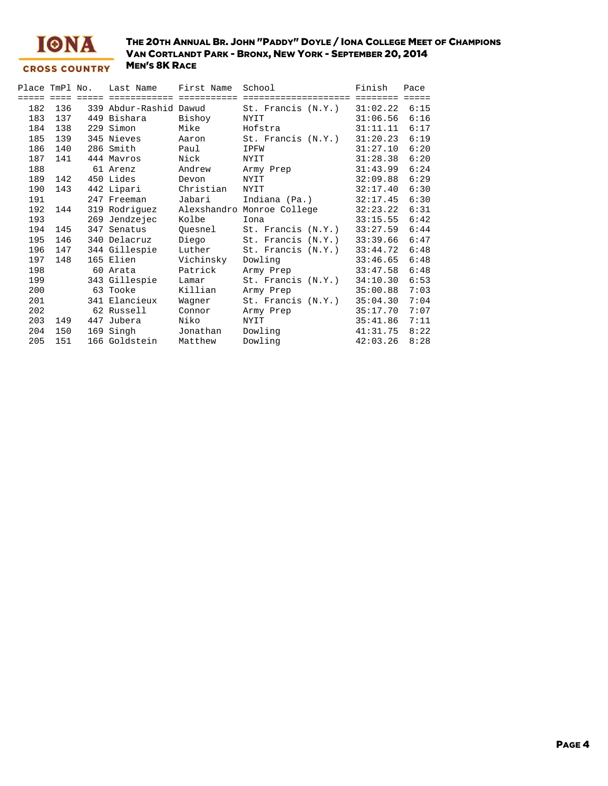

| Place TmPl No. |                 |     | Last Name              | First Name | School                     | Finish   | Pace            |
|----------------|-----------------|-----|------------------------|------------|----------------------------|----------|-----------------|
| =====          | $=$ $=$ $=$ $=$ |     |                        |            |                            | ====     | $=$ $=$ $=$ $=$ |
| 182            | 136             |     | 339 Abdur-Rashid Dawud |            | St. Francis (N.Y.)         | 31:02.22 | 6:15            |
| 183            | 137             |     | 449 Bishara            | Bishoy     | NYIT                       | 31:06.56 | 6:16            |
| 184            | 138             |     | 229 Simon              | Mike       | Hofstra                    | 31:11.11 | 6:17            |
| 185            | 139             |     | 345 Nieves             | Aaron      | St. Francis (N.Y.)         | 31:20.23 | 6:19            |
| 186            | 140             |     | 286 Smith              | Paul       | IPFW                       | 31:27.10 | 6:20            |
| 187            | 141             |     | 444 Mayros             | Nick       | <b>NYIT</b>                | 31:28.38 | 6:20            |
| 188            |                 |     | 61 Arenz               | Andrew     | Army Prep                  | 31:43.99 | 6:24            |
| 189            | 142             |     | 450 Lides              | Devon      | NYIT                       | 32:09.88 | 6:29            |
| 190            | 143             |     | 442 Lipari             | Christian  | NYIT                       | 32:17.40 | 6:30            |
| 191            |                 |     | 247 Freeman            | Jabari     | Indiana (Pa.)              | 32:17.45 | 6:30            |
| 192            | 144             |     | 319 Rodriquez          |            | Alexshandro Monroe College | 32:23.22 | 6:31            |
| 193            |                 |     | 269 Jendzejec          | Kolbe      | Iona                       | 33:15.55 | 6:42            |
| 194            | 145             |     | 347 Senatus            | Ouesnel    | St. Francis (N.Y.)         | 33:27.59 | 6:44            |
| 195            | 146             |     | 340 Delacruz           | Diego      | St. Francis (N.Y.)         | 33:39.66 | 6:47            |
| 196            | 147             |     | 344 Gillespie          | Luther     | St. Francis (N.Y.)         | 33:44.72 | 6:48            |
| 197            | 148             |     | 165 Elien              | Vichinsky  | Dowling                    | 33:46.65 | 6:48            |
| 198            |                 |     | 60 Arata               | Patrick    | Army Prep                  | 33:47.58 | 6:48            |
| 199            |                 |     | 343 Gillespie          | Lamar      | St. Francis (N.Y.)         | 34:10.30 | 6:53            |
| 200            |                 |     | 63 Tooke               | Killian    | Army Prep                  | 35:00.88 | 7:03            |
| 201            |                 |     | 341 Elancieux          | Waqner     | St. Francis (N.Y.)         | 35:04.30 | 7:04            |
| 202            |                 |     | 62 Russell             | Connor     | Army Prep                  | 35:17.70 | 7:07            |
| 203            | 149             | 447 | Jubera                 | Niko       | NYIT                       | 35:41.86 | 7:11            |
| 204            | 150             |     | 169 Singh              | Jonathan   | Dowling                    | 41:31.75 | 8:22            |
| 205            | 151             |     | 166 Goldstein          | Matthew    | Dowling                    | 42:03.26 | 8:28            |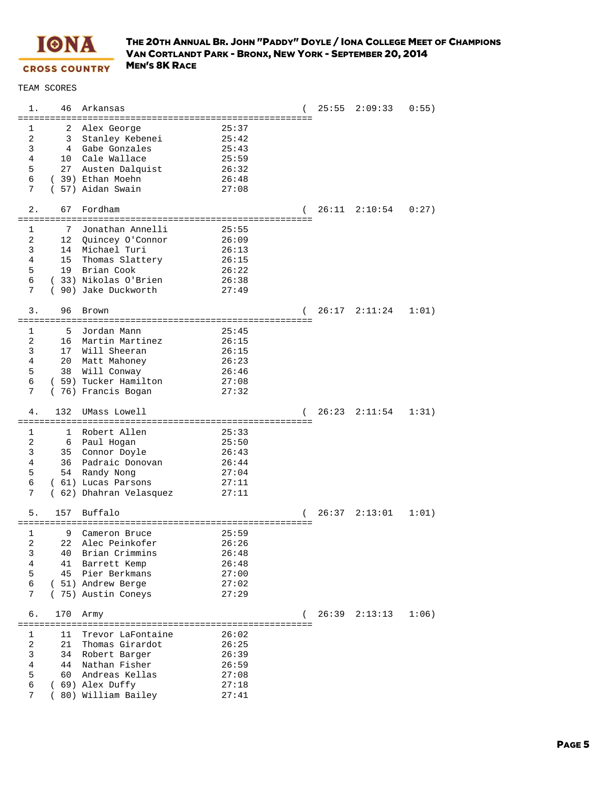

| 1.                              | 46<br>Arkansas                                                                                                                                                               |                                                             |                     | $25:55$ $2:09:33$ | 0:55) |
|---------------------------------|------------------------------------------------------------------------------------------------------------------------------------------------------------------------------|-------------------------------------------------------------|---------------------|-------------------|-------|
| 1<br>2<br>3<br>4<br>5<br>6<br>7 | 2<br>Alex George<br>Stanley Kebenei<br>3<br>Gabe Gonzales<br>4<br>Cale Wallace<br>10<br>27<br>Austen Dalquist<br>(39) Ethan Moehn<br>(57) Aidan Swain                        | 25:37<br>25:42<br>25:43<br>25:59<br>26:32<br>26:48<br>27:08 |                     |                   |       |
| 2.                              | Fordham<br>67<br>====================<br>==========================                                                                                                          |                                                             | . = = = = = = = = = | 26:11 2:10:54     | 0:27  |
| 1<br>2<br>3<br>4<br>5<br>6<br>7 | 7<br>Jonathan Annelli<br>12<br>Quincey O'Connor<br>Michael Turi<br>14<br>15<br>Thomas Slattery<br>Brian Cook<br>19<br>(33) Nikolas O'Brien<br>90) Jake Duckworth<br>$\left($ | 25:55<br>26:09<br>26:13<br>26:15<br>26:22<br>26:38<br>27:49 |                     |                   |       |
| 3.                              | 96<br>Brown                                                                                                                                                                  |                                                             | (                   | $26:17$ $2:11:24$ | 1:01) |
| 1<br>2<br>3<br>4<br>5<br>6<br>7 | 5<br>Jordan Mann<br>Martin Martinez<br>16<br>17 <sub>2</sub><br>Will Sheeran<br>20<br>Matt Mahoney<br>38<br>Will Conway<br>(59) Tucker Hamilton<br>(76) Francis Bogan        | 25:45<br>26:15<br>26:15<br>26:23<br>26:46<br>27:08<br>27:32 |                     |                   |       |
| 4.                              | 132<br>UMass Lowell                                                                                                                                                          |                                                             |                     | $26:23$ $2:11:54$ | 1:31) |
| 1<br>2<br>3<br>4<br>5           | Robert Allen<br>1<br>Paul Hogan<br>6<br>Connor Doyle<br>35<br>36<br>Padraic Donovan                                                                                          | 25:33<br>25:50<br>26:43<br>26:44                            |                     |                   |       |
| 6<br>7                          | Randy Nong<br>54<br>(61) Lucas Parsons<br>(62) Dhahran Velasquez                                                                                                             | 27:04<br>27:11<br>27:11                                     |                     |                   |       |
| 5.                              | 157<br>Buffalo                                                                                                                                                               |                                                             | $\left($            | $26:37$ $2:13:01$ | 1:01) |
| 1<br>2<br>3<br>4<br>5<br>б<br>7 | 9<br>Cameron Bruce<br>22 Alec Peinkofer<br>Brian Crimmins<br>40<br>41<br>Barrett Kemp<br>45<br>Pier Berkmans<br>(51) Andrew Berge<br>(75) Austin Coneys                      | 25:59<br>26:26<br>26:48<br>26:48<br>27:00<br>27:02<br>27:29 |                     |                   |       |
| б.                              | 170<br>Army                                                                                                                                                                  |                                                             | (                   | 26:39 2:13:13     | 1:06) |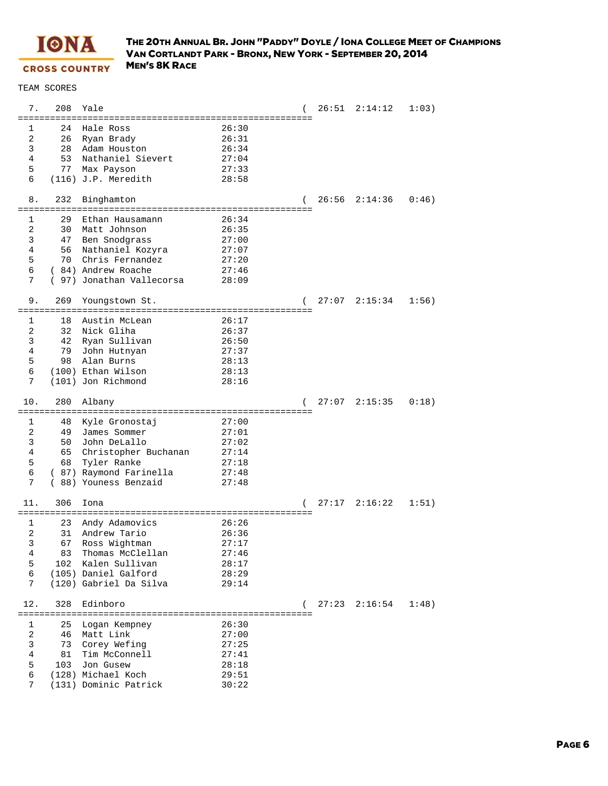

| 7.                  | 208       | Yale                                   |                |              | 26:51 | 2:14:12 | 1:03) |
|---------------------|-----------|----------------------------------------|----------------|--------------|-------|---------|-------|
| 1                   | 24        | Hale Ross                              | 26:30          |              |       |         |       |
| 2                   | 26        | Ryan Brady                             | 26:31          |              |       |         |       |
| 3                   | 28        | Adam Houston                           | 26:34          |              |       |         |       |
| 4                   | 53        | Nathaniel Sievert                      | 27:04          |              |       |         |       |
| 5<br>6              | 77        | Max Payson<br>$(116)$ J.P. Meredith    | 27:33<br>28:58 |              |       |         |       |
|                     |           |                                        |                |              |       |         |       |
| 8.<br>========      | 232       | Binghamton                             |                |              | 26:56 | 2:14:36 | 0:46) |
| 1                   | 29        | Ethan Hausamann                        | 26:34          |              |       |         |       |
| 2                   | 30        | Matt Johnson                           | 26:35          |              |       |         |       |
| 3                   | 47        | Ben Snodgrass                          | 27:00          |              |       |         |       |
| 4                   | 56        | Nathaniel Kozyra                       | 27:07          |              |       |         |       |
| 5                   | 70        | Chris Fernandez                        | 27:20          |              |       |         |       |
| 6                   |           | (84) Andrew Roache                     | 27:46          |              |       |         |       |
| 7                   |           | (97) Jonathan Vallecorsa               | 28:09          |              |       |         |       |
| 9.                  | 269       | Youngstown St.                         |                | ============ | 27:07 | 2:15:34 | 1:56) |
| 1                   | 18        | Austin McLean                          | 26:17          |              |       |         |       |
| 2                   | 32        | Nick Gliha                             | 26:37          |              |       |         |       |
| 3                   | 42        | Ryan Sullivan                          | 26:50          |              |       |         |       |
| 4                   | 79        | John Hutnyan                           | 27:37          |              |       |         |       |
| 5                   | 98        | Alan Burns                             | 28:13          |              |       |         |       |
| 6                   |           | (100) Ethan Wilson                     | 28:13          |              |       |         |       |
| 7                   |           | (101) Jon Richmond                     | 28:16          |              |       |         |       |
|                     |           |                                        |                |              |       |         |       |
| 10.                 | 280       | Albany                                 |                |              | 27:07 | 2:15:35 | 0:18) |
|                     |           |                                        |                |              |       |         |       |
| 1                   | 48        | Kyle Gronostaj                         | 27:00          |              |       |         |       |
| 2                   | 49<br>50  | James Sommer                           | 27:01<br>27:02 |              |       |         |       |
| 3<br>$\overline{4}$ |           | John DeLallo                           | 27:14          |              |       |         |       |
| 5                   | 65<br>68  | Christopher Buchanan                   | 27:18          |              |       |         |       |
| 6                   |           | Tyler Ranke<br>( 87) Raymond Farinella | 27:48          |              |       |         |       |
| 7                   |           | (88) Youness Benzaid                   | 27:48          |              |       |         |       |
| 11.                 | 306       | Iona                                   |                |              | 27:17 | 2:16:22 | 1:51) |
|                     |           | :======================                |                | =========    |       |         |       |
| 1                   | 23        | Andy Adamovics                         | 26:26          |              |       |         |       |
| 2                   | 31        | Andrew Tario                           | 26:36          |              |       |         |       |
| 3                   | 67        | Ross Wightman                          | 27:17          |              |       |         |       |
| 4                   | 83        | Thomas McClellan                       | 27:46          |              |       |         |       |
| 5                   | 102       | Kalen Sullivan                         | 28:17          |              |       |         |       |
| 6                   |           | (105) Daniel Galford                   | 28:29          |              |       |         |       |
| 7                   |           | (120) Gabriel Da Silva                 | 29:14          |              |       |         |       |
| 12.                 | 328       | Edinboro                               |                |              | 27:23 | 2:16:54 | 1:48) |
|                     |           |                                        |                |              |       |         |       |
| 1                   | 25        | Logan Kempney                          | 26:30          |              |       |         |       |
| 2                   | 46        | Matt Link                              | 27:00          |              |       |         |       |
| 3                   | 73        | Corey Wefing                           | 27:25          |              |       |         |       |
| $\overline{4}$<br>5 | 81<br>103 | Tim McConnell<br>Jon Gusew             | 27:41          |              |       |         |       |
| 6                   |           | (128) Michael Koch                     | 28:18<br>29:51 |              |       |         |       |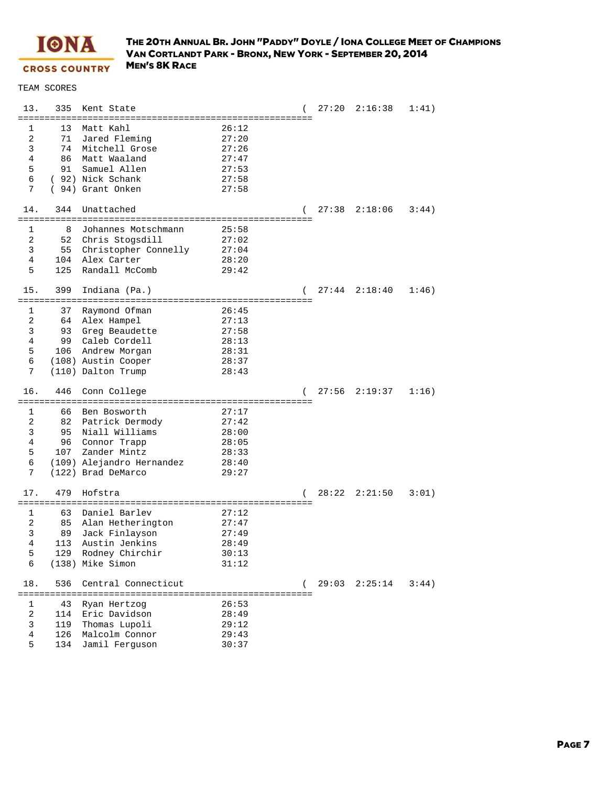

| 13.<br>======== | 335           | Kent State                      |                |   |       | $27:20$ $2:16:38$ | 1:41) |
|-----------------|---------------|---------------------------------|----------------|---|-------|-------------------|-------|
| 1               | 13            | Matt Kahl                       | 26:12          |   |       |                   |       |
| $\overline{2}$  | 71            | Jared Fleming                   | 27:20          |   |       |                   |       |
| 3               | 74            | Mitchell Grose                  | 27:26          |   |       |                   |       |
| 4               | 86            | Matt Waaland                    | 27:47          |   |       |                   |       |
| 5               | 91            | Samuel Allen                    | 27:53          |   |       |                   |       |
| 6               |               | ( 92) Nick Schank               | 27:58          |   |       |                   |       |
| 7               |               | (94) Grant Onken                | 27:58          |   |       |                   |       |
| 14.             | 344           | Unattached                      |                |   |       | $27:38$ $2:18:06$ | 3:44) |
| 1               | 8             | Johannes Motschmann             | 25:58          |   |       |                   |       |
| $\overline{a}$  | 52            | Chris Stogsdill                 | 27:02          |   |       |                   |       |
| 3               | 55            | Christopher Connelly            | 27:04          |   |       |                   |       |
| 4               | 104           | Alex Carter                     | 28:20          |   |       |                   |       |
| 5               | 125           | Randall McComb                  | 29:42          |   |       |                   |       |
| 15.             | 399           | Indiana (Pa.)                   |                |   | 27:44 | 2:18:40           | 1:46) |
|                 |               | :============================== |                |   |       |                   |       |
| 1<br>2          | 37<br>64      | Raymond Ofman                   | 26:45          |   |       |                   |       |
| 3               | 93            | Alex Hampel<br>Greg Beaudette   | 27:13<br>27:58 |   |       |                   |       |
| 4               | 99            | Caleb Cordell                   | 28:13          |   |       |                   |       |
| 5               | 106           | Andrew Morgan                   | 28:31          |   |       |                   |       |
| 6               |               | (108) Austin Cooper             | 28:37          |   |       |                   |       |
| 7               |               | (110) Dalton Trump              | 28:43          |   |       |                   |       |
|                 |               |                                 |                |   |       |                   |       |
| 16.             | 446           | Conn College                    |                |   | 27:56 | 2:19:37           | 1:16) |
|                 |               |                                 |                |   |       |                   |       |
| 1               | 66            | Ben Bosworth                    | 27:17          |   |       |                   |       |
| 2               | 82            | Patrick Dermody                 | 27:42          |   |       |                   |       |
| 3               | 95            | Niall Williams                  | 28:00          |   |       |                   |       |
| $\overline{4}$  | 96            | Connor Trapp                    | 28:05          |   |       |                   |       |
| 5               | 107           | Zander Mintz                    | 28:33          |   |       |                   |       |
| 6               |               | (109) Alejandro Hernandez       | 28:40          |   |       |                   |       |
| 7               |               | (122) Brad DeMarco              | 29:27          |   |       |                   |       |
| 17.             | 479           | Hofstra                         |                | ( | 28:22 | 2:21:50           | 3:01) |
|                 | ============= |                                 |                |   |       |                   |       |
| 1               | 63            | Daniel Barlev                   | 27:12          |   |       |                   |       |
| 2               | 85            | Alan Hetherington               | 27:47          |   |       |                   |       |
| 3               | 89            | Jack Finlayson                  | 27:49          |   |       |                   |       |
| $\overline{4}$  |               | 113 Austin Jenkins              | 28:49          |   |       |                   |       |
| 5               | 129           | Rodney Chirchir                 | 30:13          |   |       |                   |       |
| 6               |               | (138) Mike Simon                | 31:12          |   |       |                   |       |
| 18.             | 536           | Central Connecticut             |                |   |       | $29:03$ $2:25:14$ | 3:44) |
|                 |               |                                 |                |   |       |                   |       |
| 1               | 43            | Ryan Hertzog                    | 26:53          |   |       |                   |       |
| 2               | 114           | Eric Davidson                   | 28:49          |   |       |                   |       |
| 3               | 119           | Thomas Lupoli                   | 29:12          |   |       |                   |       |
| 4               | 126           | Malcolm Connor                  | 29:43          |   |       |                   |       |
| 5               | 134           | Jamil Ferguson                  | 30:37          |   |       |                   |       |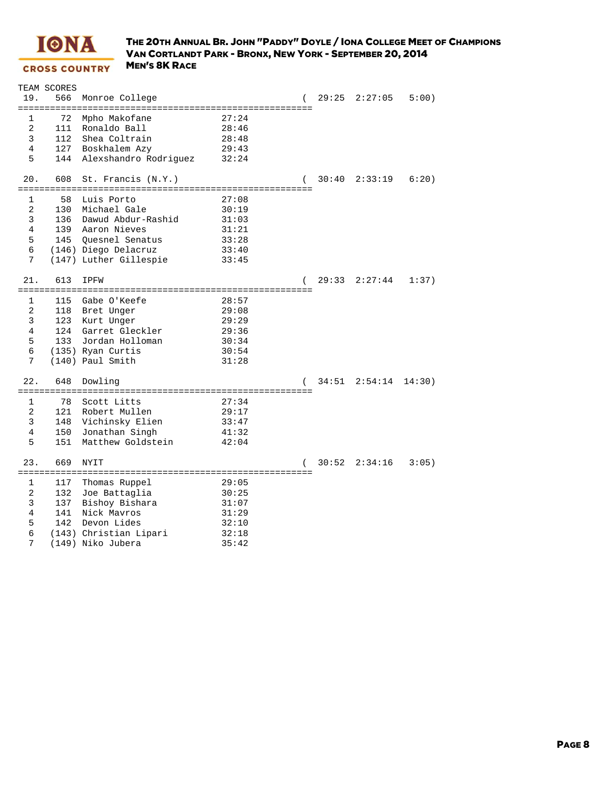

|                | TEAM SCORES |                        |       |       |                   |        |
|----------------|-------------|------------------------|-------|-------|-------------------|--------|
| 19.            | 566         | Monroe College         |       | 29:25 | 2:27:05           | 5:00   |
|                |             |                        |       |       |                   |        |
| 1              | 72          | Mpho Makofane          | 27:24 |       |                   |        |
| $\overline{2}$ | 111         | Ronaldo Ball           | 28:46 |       |                   |        |
| 3              | 112         | Shea Coltrain          | 28:48 |       |                   |        |
| $\overline{4}$ | 127         | Boskhalem Azy          | 29:43 |       |                   |        |
| 5              | 144         | Alexshandro Rodriguez  | 32:24 |       |                   |        |
|                |             |                        |       |       |                   |        |
| 20.            | 608         | St. Francis (N.Y.)     |       | 30:40 | 2:33:19           | 6:20)  |
|                |             |                        |       |       |                   |        |
| $\mathbf{1}$   | 58          | Luis Porto             | 27:08 |       |                   |        |
| 2              |             | 130 Michael Gale       | 30:19 |       |                   |        |
| 3              | 136         | Dawud Abdur-Rashid     | 31:03 |       |                   |        |
| $\overline{4}$ |             | 139 Aaron Nieves       | 31:21 |       |                   |        |
| 5              | 145         | Ouesnel Senatus        | 33:28 |       |                   |        |
| 6              |             | (146) Diego Delacruz   | 33:40 |       |                   |        |
| 7              |             | (147) Luther Gillespie | 33:45 |       |                   |        |
|                |             |                        |       |       |                   |        |
| 21.            | 613         | <b>IPFW</b>            |       | 29:33 | 2:27:44           | 1:37)  |
|                |             |                        |       |       |                   |        |
| 1              | 115         | Gabe O'Keefe           | 28:57 |       |                   |        |
| 2              |             | 118 Bret Unger         | 29:08 |       |                   |        |
| 3              |             | 123 Kurt Unger         | 29:29 |       |                   |        |
| $\overline{4}$ |             | 124 Garret Gleckler    | 29:36 |       |                   |        |
| 5              | 133         | Jordan Holloman        | 30:34 |       |                   |        |
| 6              |             | (135) Ryan Curtis      | 30:54 |       |                   |        |
| 7              |             | (140) Paul Smith       |       |       |                   |        |
|                |             |                        | 31:28 |       |                   |        |
| 22.            | 648         | Dowling                |       |       | $34:51$ $2:54:14$ | 14:30) |
|                |             |                        |       |       |                   |        |
| 1              | 78          | Scott Litts            | 27:34 |       |                   |        |
| 2              | 121         | Robert Mullen          | 29:17 |       |                   |        |
| 3              | 148         |                        |       |       |                   |        |
| 4              |             | Vichinsky Elien        | 33:47 |       |                   |        |
|                | 150         | Jonathan Singh         | 41:32 |       |                   |        |
| 5              | 151         | Matthew Goldstein      | 42:04 |       |                   |        |
| 23.            | 669         |                        |       |       |                   |        |
|                |             | <b>NYIT</b>            |       |       | $30:52$ $2:34:16$ | 3:05)  |
|                |             |                        |       |       |                   |        |
| 1              | 117         | Thomas Ruppel          | 29:05 |       |                   |        |
| 2              | 132         | Joe Battaglia          | 30:25 |       |                   |        |
| 3              | 137         | Bishoy Bishara         | 31:07 |       |                   |        |
| 4              | 141         | Nick Mavros            | 31:29 |       |                   |        |
| 5              | 142         | Devon Lides            | 32:10 |       |                   |        |
| 6              |             | (143) Christian Lipari | 32:18 |       |                   |        |
| 7              |             | (149) Niko Jubera      | 35:42 |       |                   |        |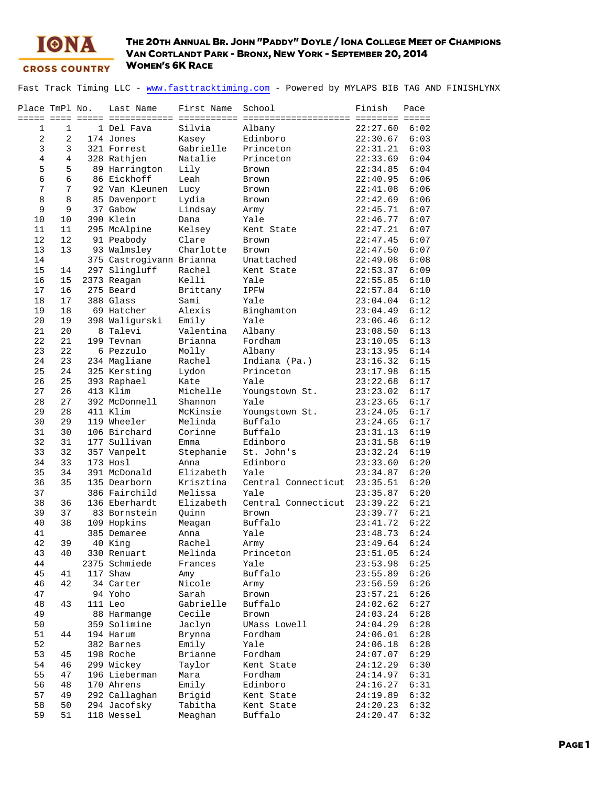

Fast Track Timing LLC - www.fasttracktiming.com - Powered by MYLAPS BIB TAG AND FINISHLYNX

| Place TmPl No. |                | Last Name                | First Name        | School                 | Finish<br><b>EEEEEEEE EEEEE</b> | Pace         |
|----------------|----------------|--------------------------|-------------------|------------------------|---------------------------------|--------------|
| 1              | $\mathbf{1}$   | 1 Del Fava               | Silvia            | Albany                 | 22:27.60                        | 6:02         |
| $\mathbf{2}$   | $\overline{2}$ | 174 Jones                | Kasey             | Edinboro               | 22:30.67                        | 6:03         |
| 3              | 3              | 321 Forrest              | Gabrielle         | Princeton              | 22:31.21                        | 6:03         |
| $\overline{4}$ | $\overline{4}$ | 328 Rathjen              | Natalie           | Princeton              | 22:33.69                        | 6:04         |
| 5              | 5              | 89 Harrington            | Lily              | Brown                  | 22:34.85                        | 6:04         |
| 6              | 6              | 86 Eickhoff              | Leah              | Brown                  | 22:40.95                        | 6:06         |
| 7              | 7              | 92 Van Kleunen           | Lucy              | Brown                  | 22:41.08                        | 6:06         |
| 8              | 8              | 85 Davenport             | Lydia             | Brown                  | 22:42.69                        | 6:06         |
| 9              | 9              | 37 Gabow                 | Lindsay           | Army                   | 22:45.71                        | 6:07         |
| 10             | 10             | 390 Klein                | Dana              | Yale                   | 22:46.77                        | 6:07         |
| 11             | 11             | 295 McAlpine             | Kelsey            | Kent State             | 22:47.21                        | 6:07         |
| 12             | 12             | 91 Peabody               | Clare             | Brown                  | 22:47.45                        | 6:07         |
| 13             | 13             | 93 Walmsley              | Charlotte         | <b>Brown</b>           | 22:47.50                        | 6:07         |
| 14             |                | 375 Castrogivann Brianna |                   | Unattached             | 22:49.08                        | 6:08         |
| 15             | 14             | 297 Slingluff            | Rachel            | Kent State             | 22:53.37                        | 6:09         |
| 16             | 15             | 2373 Reagan              | Kelli             | Yale                   | 22:55.85                        | 6:10         |
| 17             | 16             | 275 Beard                | Brittany          | IPFW                   | 22:57.84                        | 6:10         |
| 18             | 17             | 388 Glass                | Sami              | Yale                   | 23:04.04                        | 6:12         |
| 19             | 18             | 69 Hatcher               | Alexis            | Binghamton             | 23:04.49                        | 6:12         |
| 20             | 19             | 398 Waligurski           | Emily             | Yale                   | 23:06.46                        | 6:12         |
| 21             | 20             | 8 Talevi                 | Valentina         | Albany                 | 23:08.50                        | 6:13         |
| 22             | 21             | 199 Tevnan               | Brianna           | Fordham                | 23:10.05                        | 6:13         |
| 23             | 22             | 6 Pezzulo                | Molly             | Albany                 | 23:13.95                        | 6:14         |
| 24             | 23             | 234 Magliane             | Rachel            | Indiana (Pa.)          | 23:16.32                        | 6:15         |
| 25             | 24             | 325 Kersting             | Lydon             | Princeton              | 23:17.98                        | 6:15         |
| 26             | 25             | 393 Raphael              | Kate              | Yale                   | 23:22.68                        | 6:17         |
| 27             | 26             | 413 Klim                 | Michelle          | Youngstown St.         | 23:23.02                        | 6:17         |
| 28             | 27             | 392 McDonnell            | Shannon           | Yale                   | 23:23.65                        | 6:17         |
| 29             | 28             | 411 Klim                 | McKinsie          | Youngstown St.         | 23:24.05                        | 6:17         |
| 30             | 29             | 119 Wheeler              | Melinda           | Buffalo                | 23:24.65                        | 6:17         |
| 31             | 30             | 106 Birchard             | Corinne           | Buffalo                | 23:31.13                        | 6:19         |
| 32             | 31             | 177 Sullivan             | Emma              | Edinboro               | 23:31.58                        | 6:19         |
| 33<br>34       | 32<br>33       | 357 Vanpelt<br>173 Hosl  | Stephanie<br>Anna | St. John's<br>Edinboro | 23:32.24                        | 6:19<br>6:20 |
| 35             | 34             | 391 McDonald             | Elizabeth         | Yale                   | 23:33.60<br>23:34.87            | 6:20         |
| 36             | 35             | 135 Dearborn             | Krisztina         | Central Connecticut    | 23:35.51                        | 6:20         |
| 37             |                | 386 Fairchild            | Melissa           | Yale                   | 23:35.87                        | 6:20         |
| 38             | 36             | 136 Eberhardt            | Elizabeth         | Central Connecticut    | 23:39.22                        | 6:21         |
| 39             | 37             | 83 Bornstein             | Quinn             | Brown                  | 23:39.77                        | 6:21         |
| 40             | 38             | 109 Hopkins              | Meagan            | Buffalo                | 23:41.72                        | 6:22         |
| 41             |                | 385 Demaree              | Anna              | Yale                   | 23:48.73                        | 6:24         |
| 42             | 39             | 40 King                  | Rachel            | Army                   | 23:49.64                        | 6:24         |
| 43             | 40             | 330 Renuart              | Melinda           | Princeton              | 23:51.05                        | 6:24         |
| 44             |                | 2375 Schmiede            | Frances           | Yale                   | 23:53.98                        | 6:25         |
| 45             | 41             | 117 Shaw                 | Amy               | Buffalo                | 23:55.89                        | 6:26         |
| 46             | 42             | 34 Carter                | Nicole            | Army                   | 23:56.59                        | 6:26         |
| 47             |                | 94 Yoho                  | Sarah             | Brown                  | 23:57.21                        | 6:26         |
| 48             | 43             | 111 Leo                  | Gabrielle         | Buffalo                | 24:02.62                        | 6:27         |
| 49             |                | 88 Harmange              | Cecile            | Brown                  | 24:03.24                        | 6:28         |
| 50             |                | 359 Solimine             | Jaclyn            | UMass Lowell           | 24:04.29                        | 6:28         |
| 51             | 44             | 194 Harum                | Brynna            | Fordham                | 24:06.01                        | 6:28         |
| 52             |                | 382 Barnes               | Emily             | Yale                   | 24:06.18                        | 6:28         |
| 53             | 45             | 198 Roche                | Brianne           | Fordham                | 24:07.07                        | 6:29         |
| 54             | 46             | 299 Wickey               | Taylor            | Kent State             | 24:12.29                        | 6:30         |
| 55             | 47             | 196 Lieberman            | Mara              | Fordham                | 24:14.97                        | 6:31         |
| 56             | 48             | 170 Ahrens               | Emily             | Edinboro               | 24:16.27                        | 6:31         |
| 57             | 49             | 292 Callaghan            | Brigid            | Kent State             | 24:19.89                        | 6:32         |
| 58             | 50             | 294 Jacofsky             | Tabitha           | Kent State             | 24:20.23                        | 6:32         |
| 59             | 51             | 118 Wessel               | Meaghan           | Buffalo                | 24:20.47                        | 6:32         |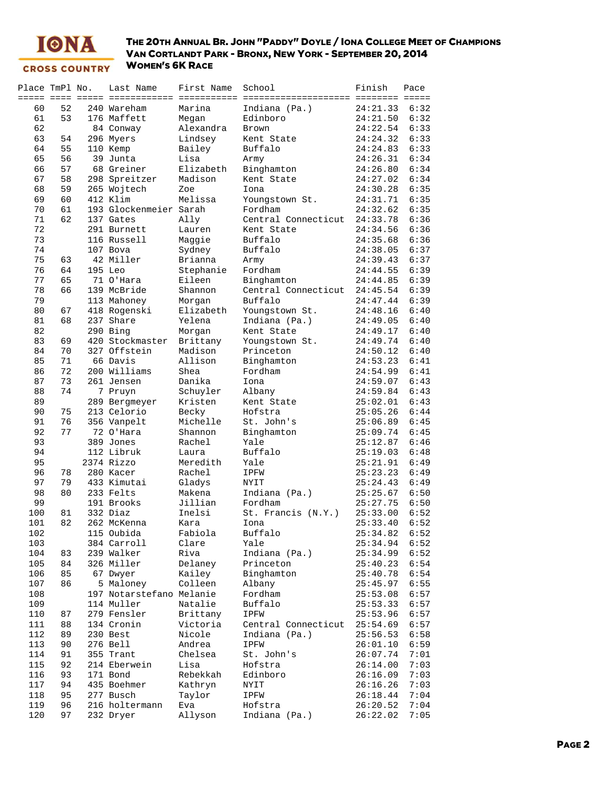

| Place TmPl No. |    | Last Name                | First Name | School              | Finish   | Pace |
|----------------|----|--------------------------|------------|---------------------|----------|------|
|                |    |                          |            |                     |          |      |
| 60             | 52 | 240 Wareham              | Marina     | Indiana (Pa.)       | 24:21.33 | 6:32 |
| 61             | 53 | 176 Maffett              | Megan      | Edinboro            | 24:21.50 | 6:32 |
| 62             |    | 84 Conway                | Alexandra  | <b>Brown</b>        | 24:22.54 | 6:33 |
| 63             | 54 | 296 Myers                | Lindsey    | Kent State          | 24:24.32 | 6:33 |
| 64             | 55 | 110 Kemp                 | Bailey     | Buffalo             | 24:24.83 | 6:33 |
| 65             | 56 | 39 Junta                 | Lisa       | Army                | 24:26.31 | 6:34 |
| 66             | 57 | 68 Greiner               | Elizabeth  | Binghamton          | 24:26.80 | 6:34 |
| 67             | 58 | 298 Spreitzer            | Madison    | Kent State          | 24:27.02 | 6:34 |
| 68             | 59 | 265 Wojtech              | Zoe        | Iona                | 24:30.28 | 6:35 |
|                |    | 412 Klim                 | Melissa    |                     |          | 6:35 |
| 69             | 60 | 193 Glockenmeier Sarah   |            | Youngstown St.      | 24:31.71 |      |
| 70             | 61 |                          |            | Fordham             | 24:32.62 | 6:35 |
| 71             | 62 | 137 Gates                | Ally       | Central Connecticut | 24:33.78 | 6:36 |
| 72             |    | 291 Burnett              | Lauren     | Kent State          | 24:34.56 | 6:36 |
| 73             |    | 116 Russell              | Maggie     | Buffalo             | 24:35.68 | 6:36 |
| 74             |    | 107 Bova                 | Sydney     | Buffalo             | 24:38.05 | 6:37 |
| 75             | 63 | 42 Miller                | Brianna    | Army                | 24:39.43 | 6:37 |
| 76             | 64 | 195 Leo                  | Stephanie  | Fordham             | 24:44.55 | 6:39 |
| 77             | 65 | 71 O'Hara                | Eileen     | Binghamton          | 24:44.85 | 6:39 |
| 78             | 66 | 139 McBride              | Shannon    | Central Connecticut | 24:45.54 | 6:39 |
| 79             |    | 113 Mahoney              | Morgan     | Buffalo             | 24:47.44 | 6:39 |
| 80             | 67 | 418 Rogenski             | Elizabeth  | Youngstown St.      | 24:48.16 | 6:40 |
| 81             | 68 | 237 Share                | Yelena     | Indiana (Pa.)       | 24:49.05 | 6:40 |
| 82             |    | 290 Bing                 | Morgan     | Kent State          | 24:49.17 | 6:40 |
| 83             | 69 | 420 Stockmaster          | Brittany   | Youngstown St.      | 24:49.74 | 6:40 |
|                | 70 | 327 Offstein             |            | Princeton           |          |      |
| 84             |    |                          | Madison    |                     | 24:50.12 | 6:40 |
| 85             | 71 | 66 Davis                 | Allison    | Binghamton          | 24:53.23 | 6:41 |
| 86             | 72 | 200 Williams             | Shea       | Fordham             | 24:54.99 | 6:41 |
| 87             | 73 | 261 Jensen               | Danika     | Iona                | 24:59.07 | 6:43 |
| 88             | 74 | 7 Pruyn                  | Schuyler   | Albany              | 24:59.84 | 6:43 |
| 89             |    | 289 Bergmeyer            | Kristen    | Kent State          | 25:02.01 | 6:43 |
| 90             | 75 | 213 Celorio              | Becky      | Hofstra             | 25:05.26 | 6:44 |
| 91             | 76 | 356 Vanpelt              | Michelle   | St. John's          | 25:06.89 | 6:45 |
| 92             | 77 | 72 O'Hara                | Shannon    | Binghamton          | 25:09.74 | 6:45 |
| 93             |    | 389 Jones                | Rachel     | Yale                | 25:12.87 | 6:46 |
| 94             |    | 112 Libruk               | Laura      | Buffalo             | 25:19.03 | 6:48 |
| 95             |    | 2374 Rizzo               | Meredith   | Yale                | 25:21.91 | 6:49 |
| 96             | 78 | 280 Kacer                | Rachel     | IPFW                | 25:23.23 | 6:49 |
| 97             | 79 | 433 Kimutai              | Gladys     | <b>NYIT</b>         | 25:24.43 | 6:49 |
| 98             | 80 | 233 Felts                | Makena     | Indiana (Pa.)       | 25:25.67 | 6:50 |
| 99             |    | 191 Brooks               | Jillian    | Fordham             | 25:27.75 | 6:50 |
| 100            | 81 | 332 Diaz                 | Inelsi     | St. Francis (N.Y.)  | 25:33.00 | 6:52 |
|                | 82 |                          |            | Iona                |          | 6:52 |
| 101            |    | 262 McKenna              | Kara       |                     | 25:33.40 |      |
| 102            |    | 115 Oubida               | Fabiola    | Buffalo             | 25:34.82 | 6:52 |
| 103            |    | 384 Carroll              | Clare      | Yale                | 25:34.94 | 6:52 |
| 104            | 83 | 239 Walker               | Riva       | Indiana (Pa.)       | 25:34.99 | 6:52 |
| 105            | 84 | 326 Miller               | Delaney    | Princeton           | 25:40.23 | 6:54 |
| 106            | 85 | 67 Dwyer                 | Kailey     | Binghamton          | 25:40.78 | 6:54 |
| 107            | 86 | 5 Maloney                | Colleen    | Albany              | 25:45.97 | 6:55 |
| 108            |    | 197 Notarstefano Melanie |            | Fordham             | 25:53.08 | 6:57 |
| 109            |    | 114 Muller               | Natalie    | Buffalo             | 25:53.33 | 6:57 |
| 110            | 87 | 279 Fensler              | Brittany   | IPFW                | 25:53.96 | 6:57 |
| 111            | 88 | 134 Cronin               | Victoria   | Central Connecticut | 25:54.69 | 6:57 |
| 112            | 89 | 230 Best                 | Nicole     | Indiana (Pa.)       | 25:56.53 | 6:58 |
| 113            | 90 | 276 Bell                 | Andrea     | IPFW                | 26:01.10 | 6:59 |
| 114            | 91 | 355 Trant                | Chelsea    | St. John's          | 26:07.74 | 7:01 |
| 115            | 92 | 214 Eberwein             | Lisa       | Hofstra             | 26:14.00 | 7:03 |
| 116            | 93 | 171 Bond                 | Rebekkah   | Edinboro            | 26:16.09 | 7:03 |
|                |    | 435 Boehmer              |            |                     |          |      |
| 117            | 94 |                          | Kathryn    | NYIT                | 26:16.26 | 7:03 |
| 118            | 95 | 277 Busch                | Taylor     | IPFW                | 26:18.44 | 7:04 |
| 119            | 96 | 216 holtermann           | Eva        | Hofstra             | 26:20.52 | 7:04 |
| 120            | 97 | 232 Dryer                | Allyson    | Indiana (Pa.)       | 26:22.02 | 7:05 |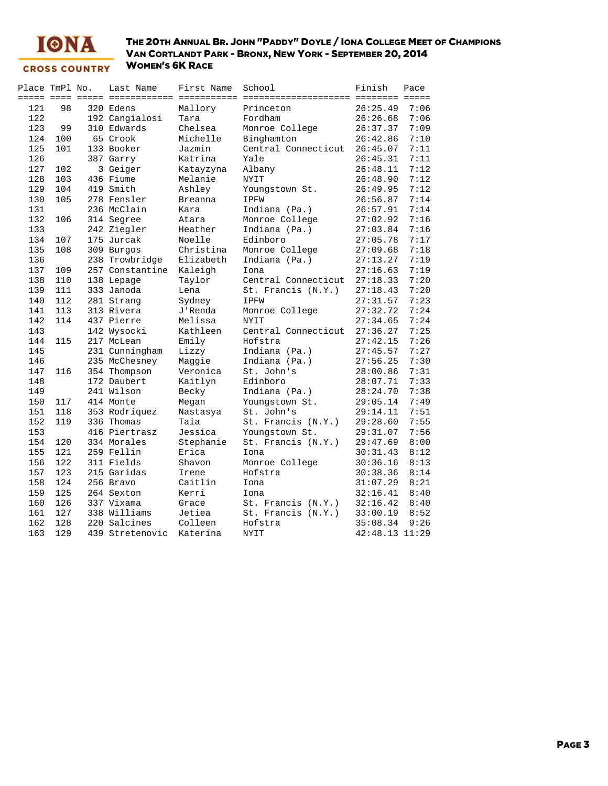

| Place TmPl No. |     | Last Name       | First Name     | School                              | Finish                 | Pace |
|----------------|-----|-----------------|----------------|-------------------------------------|------------------------|------|
|                |     |                 |                | ============ ====================== | <b>MARKARAN MARKAR</b> |      |
| 121            | 98  | 320 Edens       | Mallory        | Princeton                           | 26:25.49               | 7:06 |
| 122            |     | 192 Cangialosi  | Tara           | Fordham                             | 26:26.68               | 7:06 |
| 123            | 99  | 310 Edwards     | Chelsea        | Monroe College                      | 26:37.37               | 7:09 |
| 124            | 100 | 65 Crook        | Michelle       | Binghamton                          | 26:42.86               | 7:10 |
| 125            | 101 | 133 Booker      | Jazmin         | Central Connecticut                 | 26:45.07               | 7:11 |
| 126            |     | 387 Garry       | Katrina        | Yale                                | 26:45.31               | 7:11 |
| 127            | 102 | 3 Geiger        | Katayzyna      | Albany                              | 26:48.11               | 7:12 |
| 128            | 103 | 436 Fiume       | Melanie        | <b>NYIT</b>                         | 26:48.90               | 7:12 |
| 129            | 104 | 419 Smith       | Ashley         | Youngstown St.                      | 26:49.95               | 7:12 |
| 130            | 105 | 278 Fensler     | <b>Breanna</b> | IPFW                                | 26:56.87               | 7:14 |
| 131            |     | 236 McClain     | Kara           | Indiana (Pa.)                       | 26:57.91               | 7:14 |
| 132            | 106 | 314 Segree      | Atara          | Monroe College                      | 27:02.92               | 7:16 |
| 133            |     | 242 Ziegler     | Heather        | Indiana (Pa.)                       | 27:03.84               | 7:16 |
| 134            | 107 | 175 Jurcak      | Noelle         | Edinboro                            | 27:05.78               | 7:17 |
| 135            | 108 | 309 Burgos      | Christina      | Monroe College                      | 27:09.68               | 7:18 |
| 136            |     | 238 Trowbridge  | Elizabeth      | Indiana (Pa.)                       | 27:13.27               | 7:19 |
| 137            | 109 | 257 Constantine | Kaleigh        | Iona                                | 27:16.63               | 7:19 |
| 138            | 110 | 138 Lepage      | Taylor         | Central Connecticut                 | 27:18.33               | 7:20 |
| 139            | 111 | 333 Janoda      | Lena           | St. Francis (N.Y.)                  | 27:18.43               | 7:20 |
| 140            | 112 | 281 Strang      | Sydney         | <b>IPFW</b>                         | 27:31.57               | 7:23 |
| 141            | 113 | 313 Rivera      | J'Renda        | Monroe College                      | 27:32.72               | 7:24 |
| 142            | 114 | 437 Pierre      | Melissa        | <b>NYIT</b>                         | 27:34.65               | 7:24 |
| 143            |     | 142 Wysocki     | Kathleen       | Central Connecticut                 | 27:36.27               | 7:25 |
| 144            | 115 | 217 McLean      | Emily          | Hofstra                             | 27:42.15               | 7:26 |
| 145            |     | 231 Cunningham  | Lizzy          | Indiana (Pa.)                       | 27:45.57               | 7:27 |
| 146            |     | 235 McChesney   | Maggie         | Indiana (Pa.)                       | 27:56.25               | 7:30 |
| 147            | 116 | 354 Thompson    | Veronica       | St. John's                          | 28:00.86               | 7:31 |
| 148            |     | 172 Daubert     | Kaitlyn        | Edinboro                            | 28:07.71               | 7:33 |
| 149            |     | 241 Wilson      | Becky          | Indiana (Pa.)                       | 28:24.70               | 7:38 |
| 150            | 117 | 414 Monte       | Megan          | Youngstown St.                      | 29:05.14               | 7:49 |
| 151            | 118 | 353 Rodriguez   | Nastasya       | St. John's                          | 29:14.11               | 7:51 |
| 152            | 119 | 336 Thomas      | Taia           | St. Francis (N.Y.)                  | 29:28.60               | 7:55 |
| 153            |     | 416 Piertrasz   | Jessica        | Youngstown St.                      | 29:31.07               | 7:56 |
| 154            | 120 | 334 Morales     | Stephanie      | St. Francis (N.Y.)                  | 29:47.69               | 8:00 |
| 155            | 121 | 259 Fellin      | Erica          | Iona                                | 30:31.43               | 8:12 |
| 156            | 122 | 311 Fields      | Shavon         | Monroe College                      | 30:36.16               | 8:13 |
| 157            | 123 | 215 Garidas     | Irene          | Hofstra                             | 30:38.36               | 8:14 |
| 158            | 124 | 256 Bravo       | Caitlin        | Iona                                | 31:07.29               | 8:21 |
| 159            | 125 | 264 Sexton      | Kerri          | Iona                                | 32:16.41               | 8:40 |
| 160            | 126 | 337 Vixama      | Grace          | St. Francis (N.Y.)                  | 32:16.42               | 8:40 |
| 161            | 127 | 338 Williams    | Jetiea         | St. Francis (N.Y.)                  | 33:00.19               | 8:52 |
| 162            | 128 | 220 Salcines    | Colleen        | Hofstra                             | 35:08.34               | 9:26 |
| 163            | 129 | 439 Stretenovic | Katerina       | <b>NYIT</b>                         | 42:48.13 11:29         |      |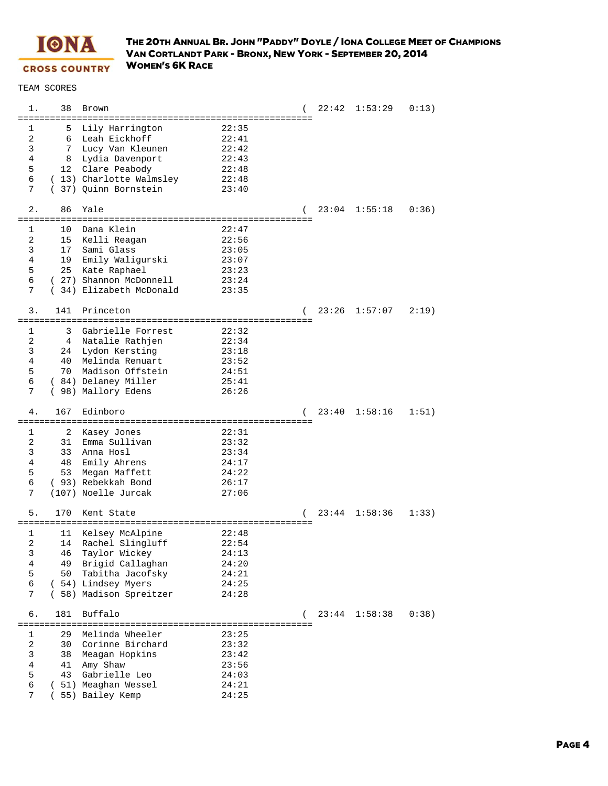

|                                 | 38                                 | Brown                                                                                                                                          |                                                             |                     |       | $22:42$ $1:53:29$ | 0:13) |
|---------------------------------|------------------------------------|------------------------------------------------------------------------------------------------------------------------------------------------|-------------------------------------------------------------|---------------------|-------|-------------------|-------|
| 1<br>2<br>3<br>4<br>5<br>6<br>7 | 5<br>6<br>7<br>8                   | Lily Harrington<br>Leah Eickhoff<br>Lucy Van Kleunen<br>Lydia Davenport<br>12 Clare Peabody<br>(13) Charlotte Walmsley<br>(37) Quinn Bornstein | 22:35<br>22:41<br>22:42<br>22:43<br>22:48<br>22:48<br>23:40 |                     |       |                   |       |
| 2.                              | 86                                 | Yale<br>=====================<br>==============                                                                                                |                                                             |                     |       | $23:04$ 1:55:18   | 0:36  |
| 1<br>2<br>3<br>4<br>5<br>6<br>7 | 10<br>15<br>17<br>19<br>25         | Dana Klein<br>Kelli Reagan<br>Sami Glass<br>Emily Waligurski<br>Kate Raphael<br>(27) Shannon McDonnell<br>(34) Elizabeth McDonald              | 22:47<br>22:56<br>23:05<br>23:07<br>23:23<br>23:24<br>23:35 |                     |       |                   |       |
| 3.                              | 141                                | Princeton                                                                                                                                      |                                                             | (                   | 23:26 | 1:57:07           | 2:19  |
| 1<br>2<br>3<br>4<br>5<br>6<br>7 | 3<br>$4^{\circ}$<br>24<br>40<br>70 | Gabrielle Forrest<br>Natalie Rathjen<br>Lydon Kersting<br>Melinda Renuart<br>Madison Offstein<br>( 84) Delaney Miller<br>( 98) Mallory Edens   | 22:32<br>22:34<br>23:18<br>23:52<br>24:51<br>25:41<br>26:26 |                     |       |                   |       |
| 4.                              | 167                                | Edinboro                                                                                                                                       |                                                             |                     | 23:40 | 1:58:16           | 1:51) |
| 1                               | 2                                  | Kasey Jones                                                                                                                                    | 22:31                                                       | . = = = = = = = = = |       |                   |       |
| 2<br>3<br>4<br>5<br>6<br>7      | 31<br>33<br>48<br>53               | Emma Sullivan<br>Anna Hosl<br>Emily Ahrens<br>Megan Maffett<br>(93) Rebekkah Bond<br>(107) Noelle Jurcak                                       | 23:32<br>23:34<br>24:17<br>24:22<br>26:17<br>27:06          |                     |       |                   |       |
| 5.                              | 170                                | Kent State                                                                                                                                     |                                                             | (                   | 23:44 | 1:58:36           | 1:33) |
| 1<br>2<br>3<br>4<br>5<br>6<br>7 | 11<br>14<br>46<br>49<br>50         | Kelsey McAlpine<br>Rachel Slingluff<br>Taylor Wickey<br>Brigid Callaghan<br>Tabitha Jacofsky<br>(54) Lindsey Myers<br>( 58) Madison Spreitzer  | 22:48<br>22:54<br>24:13<br>24:20<br>24:21<br>24:25<br>24:28 |                     |       |                   |       |
| б.                              | 181                                | Buffalo                                                                                                                                        |                                                             | (                   | 23:44 | 1:58:38           | 0:38) |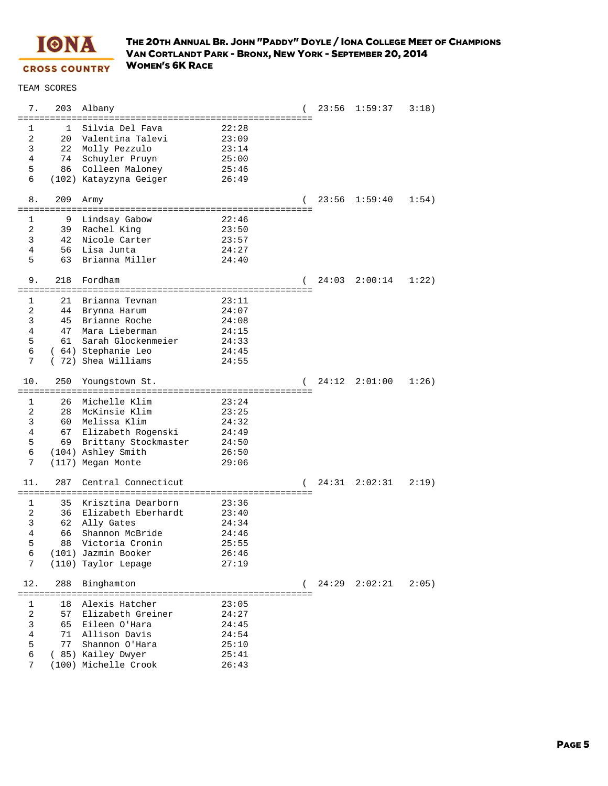

| 7.              | 203                   | Albany                                           |                                   |                |       | $23:56$ $1:59:37$ | 3:18) |
|-----------------|-----------------------|--------------------------------------------------|-----------------------------------|----------------|-------|-------------------|-------|
| 1               | $\mathbf{1}$          | Silvia Del Fava                                  | 22:28                             |                |       |                   |       |
| 2               | 20                    | Valentina Talevi                                 | 23:09                             |                |       |                   |       |
| 3               | 22                    | Molly Pezzulo                                    | 23:14                             |                |       |                   |       |
| 4               | 74                    | Schuyler Pruyn                                   | 25:00                             |                |       |                   |       |
| 5               | 86                    | Colleen Maloney                                  | 25:46                             |                |       |                   |       |
| 6               |                       | (102) Katayzyna Geiger                           | 26:49                             |                |       |                   |       |
| 8.              | 209<br>============== | Army                                             | ================================= |                | 23:56 | 1:59:40           | 1:54) |
| 1               | 9                     | Lindsay Gabow                                    | 22:46                             |                |       |                   |       |
| 2               | 39                    | Rachel King                                      | 23:50                             |                |       |                   |       |
| 3               | 42                    | Nicole Carter                                    | 23:57                             |                |       |                   |       |
| 4               | 56                    | Lisa Junta                                       | 24:27                             |                |       |                   |       |
| 5               | 63                    | Brianna Miller                                   | 24:40                             |                |       |                   |       |
| 9.              | 218                   | Fordham<br>------------------------------------- |                                   |                | 24:03 | 2:00:14           | 1:22) |
| 1               | 21                    | Brianna Tevnan                                   | 23:11                             |                |       |                   |       |
| 2               | 44                    | Brynna Harum                                     | 24:07                             |                |       |                   |       |
| 3               | 45                    | Brianne Roche                                    | 24:08                             |                |       |                   |       |
| 4               | 47                    | Mara Lieberman                                   | 24:15                             |                |       |                   |       |
| 5               | 61                    | Sarah Glockenmeier                               | 24:33                             |                |       |                   |       |
| 6               |                       | (64) Stephanie Leo                               | 24:45                             |                |       |                   |       |
| 7               |                       | (72) Shea Williams                               | 24:55                             |                |       |                   |       |
| 10.             | 250                   | Youngstown St.                                   |                                   | $\overline{ }$ |       | 24:12 2:01:00     | 1:26  |
| 1               | 26                    | Michelle Klim                                    | 23:24                             |                |       |                   |       |
| 2               | 28                    | McKinsie Klim                                    | 23:25                             |                |       |                   |       |
| 3               | 60                    | Melissa Klim                                     | 24:32                             |                |       |                   |       |
| 4               | 67                    | Elizabeth Rogenski                               | 24:49                             |                |       |                   |       |
| 5               | 69                    | Brittany Stockmaster                             | 24:50                             |                |       |                   |       |
| 6               |                       | (104) Ashley Smith                               | 26:50                             |                |       |                   |       |
| 7               |                       | (117) Megan Monte                                | 29:06                             |                |       |                   |       |
| 11.             | 287                   | Central Connecticut                              |                                   |                | 24:31 | 2:02:31           | 2:19  |
| 1               | 35                    | Krisztina Dearborn                               | 23:36                             |                |       |                   |       |
| 2               | 36                    | Elizabeth Eberhardt                              | 23:40                             |                |       |                   |       |
| 3               | 62                    | Ally Gates                                       | 24:34                             |                |       |                   |       |
| 4               | 66                    | Shannon McBride                                  | 24:46                             |                |       |                   |       |
| 5               | 88                    | Victoria Cronin                                  | 25:55                             |                |       |                   |       |
| 6               |                       | (101) Jazmin Booker                              | 26:46                             |                |       |                   |       |
| 7               |                       | (110) Taylor Lepage                              | 27:19                             |                |       |                   |       |
| 12.<br>======== | 288                   | Binghamton                                       |                                   |                |       | 24:29 2:02:21     | 2:05) |
| 1               | 18                    | Alexis Hatcher                                   | 23:05                             |                |       |                   |       |
| 2               | 57                    | Elizabeth Greiner                                | 24:27                             |                |       |                   |       |
| 3               | 65                    | Eileen O'Hara                                    | 24:45                             |                |       |                   |       |
| 4               | 71                    | Allison Davis                                    | 24:54                             |                |       |                   |       |
| 5               | 77                    | Shannon O'Hara                                   | 25:10                             |                |       |                   |       |
| 6               |                       | ( 85) Kailey Dwyer                               | 25:41                             |                |       |                   |       |
| 7               |                       | (100) Michelle Crook                             | 26:43                             |                |       |                   |       |
|                 |                       |                                                  |                                   |                |       |                   |       |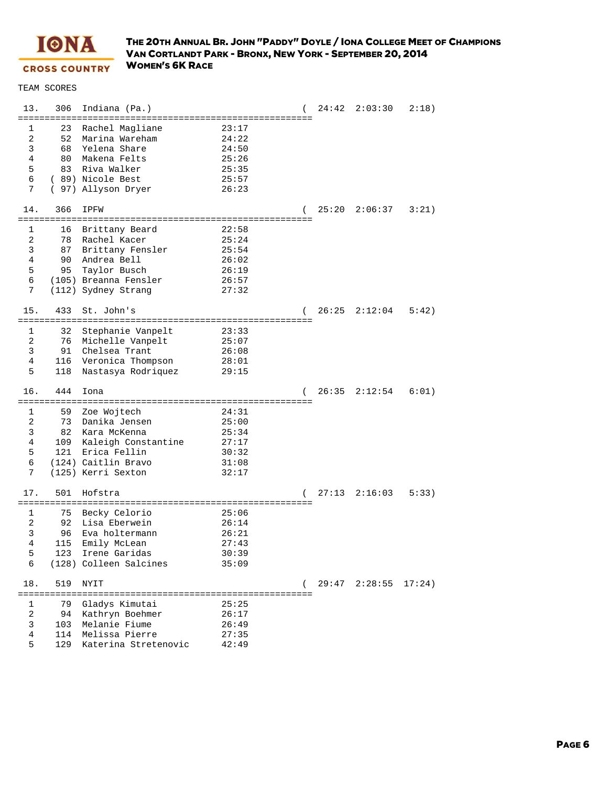

| 13.            | 306 | Indiana (Pa.)                 |             |   |       | $24:42$ $2:03:30$ | 2:18)  |
|----------------|-----|-------------------------------|-------------|---|-------|-------------------|--------|
|                |     |                               |             |   |       |                   |        |
| 1              | 23  | Rachel Magliane               | 23:17       |   |       |                   |        |
| 2              | 52  | Marina Wareham                | 24:22       |   |       |                   |        |
| 3              | 68  | Yelena Share                  | 24:50       |   |       |                   |        |
| 4              | 80  | Makena Felts                  | 25:26       |   |       |                   |        |
| 5              | 83  | Riva Walker                   | 25:35       |   |       |                   |        |
| 6              |     | (89) Nicole Best              | 25:57       |   |       |                   |        |
| 7              |     | ( 97) Allyson Dryer           | 26:23       |   |       |                   |        |
| 14.            | 366 | IPFW                          |             |   |       | $25:20$ $2:06:37$ | 3:21   |
|                |     |                               |             |   |       |                   |        |
| 1              | 16  | Brittany Beard                | 22:58       |   |       |                   |        |
| 2              | 78  | Rachel Kacer                  | 25:24       |   |       |                   |        |
| 3              | 87  | Brittany Fensler              | 25:54       |   |       |                   |        |
| 4              | 90  | Andrea Bell                   | 26:02       |   |       |                   |        |
| 5              | 95  | Taylor Busch                  | 26:19       |   |       |                   |        |
| 6              |     | (105) Breanna Fensler         | 26:57       |   |       |                   |        |
| 7              |     | (112) Sydney Strang           | 27:32       |   |       |                   |        |
|                |     |                               |             |   |       |                   |        |
| 15.            | 433 | St. John's                    |             | ( |       | $26:25$ $2:12:04$ | 5:42)  |
|                |     |                               |             |   |       |                   |        |
| 1              | 32  | Stephanie Vanpelt             | 23:33       |   |       |                   |        |
| 2              | 76  | Michelle Vanpelt              | 25:07       |   |       |                   |        |
| 3              | 91  | Chelsea Trant                 | 26:08       |   |       |                   |        |
| 4              | 116 | Veronica Thompson             | 28:01       |   |       |                   |        |
| 5              | 118 | Nastasya Rodriquez            | 29:15       |   |       |                   |        |
|                |     |                               |             |   |       |                   |        |
| 16.            | 444 | Iona                          |             |   | 26:35 | 2:12:54           | 6:01)  |
|                |     |                               |             |   |       |                   |        |
| 1              | 59  | Zoe Wojtech                   | 24:31       |   |       |                   |        |
| 2              | 73  | Danika Jensen                 | 25:00       |   |       |                   |        |
| 3              | 82  | Kara McKenna                  | 25:34       |   |       |                   |        |
| 4              |     | 109 Kaleigh Constantine       | 27:17       |   |       |                   |        |
| 5              | 121 | Erica Fellin                  | 30:32       |   |       |                   |        |
| 6              |     | (124) Caitlin Bravo           | 31:08       |   |       |                   |        |
| 7              |     | (125) Kerri Sexton            | 32:17       |   |       |                   |        |
|                |     |                               |             |   |       |                   |        |
| 17.            | 501 | Hofstra                       |             |   | 27:13 | 2:16:03           | 5:33)  |
|                |     |                               |             |   |       |                   |        |
| 1              | 75  | Becky Celorio                 | 25:06       |   |       |                   |        |
| 2              | 92  | Lisa Eberwein                 | 26:14       |   |       |                   |        |
| 3              | 96  | Eva holtermann                | 26:21       |   |       |                   |        |
| 4              |     | 115 Emily McLean              | 27:43       |   |       |                   |        |
| 5              | 123 | Irene Garidas                 | 30:39       |   |       |                   |        |
| 6              |     | (128) Colleen Salcines        | 35:09       |   |       |                   |        |
|                |     |                               |             |   |       |                   |        |
| 18.            | 519 | NYIT<br>===================== | =========== |   |       | $29:47$ $2:28:55$ | 17:24) |
| 1              | 79  | Gladys Kimutai                | 25:25       |   |       |                   |        |
| $\overline{a}$ | 94  | Kathryn Boehmer               | 26:17       |   |       |                   |        |
| 3              | 103 | Melanie Fiume                 | 26:49       |   |       |                   |        |
| 4              | 114 | Melissa Pierre                | 27:35       |   |       |                   |        |
| 5              | 129 | Katerina Stretenovic          | 42:49       |   |       |                   |        |
|                |     |                               |             |   |       |                   |        |